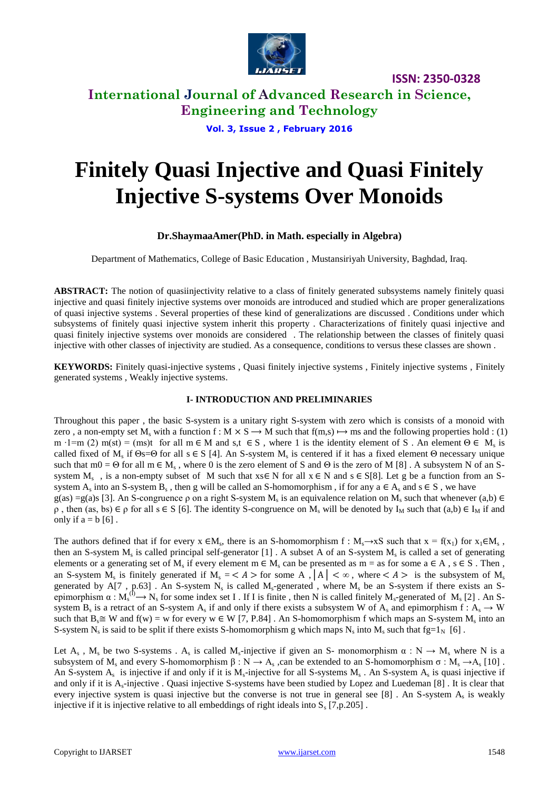

**International Journal of Advanced Research in Science, Engineering and Technology**

**Vol. 3, Issue 2 , February 2016**

# **Finitely Quasi Injective and Quasi Finitely Injective S-systems Over Monoids**

### **Dr.ShaymaaAmer(PhD. in Math. especially in Algebra)**

Department of Mathematics, College of Basic Education , Mustansiriyah University, Baghdad, Iraq.

**ABSTRACT:** The notion of quasiinjectivity relative to a class of finitely generated subsystems namely finitely quasi injective and quasi finitely injective systems over monoids are introduced and studied which are proper generalizations of quasi injective systems . Several properties of these kind of generalizations are discussed . Conditions under which subsystems of finitely quasi injective system inherit this property . Characterizations of finitely quasi injective and quasi finitely injective systems over monoids are considered . The relationship between the classes of finitely quasi injective with other classes of injectivity are studied. As a consequence, conditions to versus these classes are shown .

**KEYWORDS:** Finitely quasi-injective systems , Quasi finitely injective systems , Finitely injective systems , Finitely generated systems , Weakly injective systems.

### **I- INTRODUCTION AND PRELIMINARIES**

Throughout this paper , the basic S-system is a unitary right S-system with zero which is consists of a monoid with zero, a non-empty set M<sub>s</sub> with a function  $f : M \times S \to M$  such that  $f(m,s) \mapsto ms$  and the following properties hold : (1) m ⋅1=m (2) m(st) = (ms)t for all m  $\in$  M and s,t  $\in$  S, where 1 is the identity element of S. An element  $\Theta \in M_s$  is called fixed of  $M_s$  if  $\Theta s = \Theta$  for all  $s \in S$  [4]. An S-system  $M_s$  is centered if it has a fixed element  $\Theta$  necessary unique such that  $m0 = \Theta$  for all  $m \in M_s$ , where 0 is the zero element of S and  $\Theta$  is the zero of M [8]. A subsystem N of an Ssystem  $M_s$ , is a non-empty subset of M such that xs∈ N for all  $x \in N$  and  $s \in S[8]$ . Let g be a function from an Ssystem  $A_s$  into an S-system  $B_s$ , then g will be called an S-homomorphism, if for any  $a \in A_s$  and  $s \in S$ , we have  $g(as) = g(a)s$  [3]. An S-congruence  $\rho$  on a right S-system M<sub>s</sub> is an equivalence relation on M<sub>s</sub> such that whenever (a,b)  $\in$  $\rho$ , then (as, bs)  $\in \rho$  for all s  $\in S$  [6]. The identity S-congruence on M<sub>s</sub> will be denoted by I<sub>M</sub> such that (a,b)  $\in I_M$  if and only if  $a = b$  [6].

The authors defined that if for every  $x \in M_s$ , there is an S-homomorphism  $f : M_s \to xS$  such that  $x = f(x_1)$  for  $x_1 \in M_s$ , then an S-system  $M_s$  is called principal self-generator [1]. A subset A of an S-system  $M_s$  is called a set of generating elements or a generating set of  $M_s$  if every element  $m \in M_s$  can be presented as  $m = as$  for some  $a \in A$ ,  $s \in S$ . Then, an S-system M<sub>s</sub> is finitely generated if  $M_s = \langle A \rangle$  for some A,  $|A| < \infty$ , where  $\langle A \rangle$  is the subsystem of M<sub>s</sub> generated by  $A[7, p.63]$ . An S-system  $N_s$  is called  $M_s$ -generated, where  $M_s$  be an S-system if there exists an Sepimorphism  $\alpha : M_s^{(1)} \to N_s$  for some index set I . If I is finite, then N is called finitely  $M_s$ -generated of  $M_s$  [2]. An Ssystem  $B_s$  is a retract of an S-system  $A_s$  if and only if there exists a subsystem W of  $A_s$  and epimorphism  $f: A_s \to W$ such that  $B_s \cong W$  and  $f(w) = w$  for every  $w \in W$  [7, P.84]. An S-homomorphism f which maps an S-system  $M_s$  into an S-system N<sub>s</sub> is said to be split if there exists S-homomorphism g which maps N<sub>s</sub> into M<sub>s</sub> such that fg=1<sub>N</sub> [6].

Let  $A_s$ ,  $M_s$  be two S-systems. A<sub>s</sub> is called M<sub>s</sub>-injective if given an S- monomorphism  $\alpha : N \to M_s$  where N is a subsystem of  $M_s$  and every S-homomorphism  $\beta : N \to A_s$ , can be extended to an S-homomorphism  $\sigma : M_s \to A_s$  [10]. An S-system  $A_s$  is injective if and only if it is  $M_s$ -injective for all S-systems  $M_s$ . An S-system  $A_s$  is quasi injective if and only if it is As-injective . Quasi injective S-systems have been studied by Lopez and Luedeman [8] . It is clear that every injective system is quasi injective but the converse is not true in general see [8]. An S-system A<sub>s</sub> is weakly injective if it is injective relative to all embeddings of right ideals into  $S_s$  [7,p.205].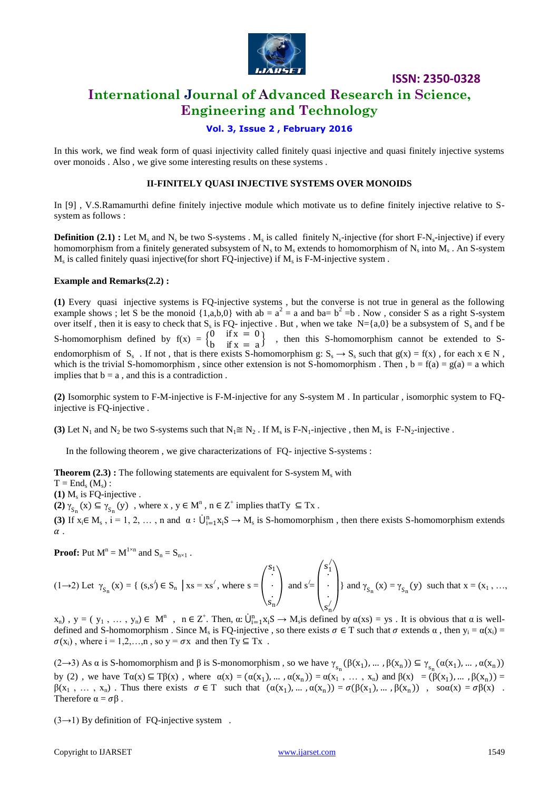

### **International Journal of Advanced Research in Science, Engineering and Technology**

### **Vol. 3, Issue 2 , February 2016**

In this work, we find weak form of quasi injectivity called finitely quasi injective and quasi finitely injective systems over monoids . Also , we give some interesting results on these systems .

#### **II-FINITELY QUASI INJECTIVE SYSTEMS OVER MONOIDS**

In [9] , V.S.Ramamurthi define finitely injective module which motivate us to define finitely injective relative to Ssystem as follows :

**Definition (2.1) :** Let  $M_s$  and  $N_s$  be two S-systems .  $M_s$  is called finitely  $N_s$ -injective (for short F-N<sub>s</sub>-injective) if every homomorphism from a finitely generated subsystem of  $N_s$  to  $M_s$  extends to homomorphism of  $N_s$  into  $M_s$  . An S-system  $M_s$  is called finitely quasi injective(for short FQ-injective) if  $M_s$  is F-M-injective system.

#### **Example and Remarks(2.2) :**

**(1)** Every quasi injective systems is FQ-injective systems , but the converse is not true in general as the following example shows ; let S be the monoid  $\{1,a,b,0\}$  with  $ab = a^2 = a$  and  $ba = b^2 = b$ . Now, consider S as a right S-system over itself, then it is easy to check that  $S_s$  is FQ- injective. But, when we take  $N = \{a, 0\}$  be a subsystem of  $S_s$  and f be S-homomorphism defined by  $f(x) = \begin{cases} 0 & \text{if } x = 0 \\ 0 & \text{if } x = 0 \end{cases}$  $\begin{bmatrix} 0 & \text{if } x = 0 \\ \text{if } x = a \end{bmatrix}$ , then this S-homomorphism cannot be extended to Sendomorphism of  $S_s$ . If not, that is there exists S-homomorphism g:  $S_s \to S_s$  such that  $g(x) = f(x)$ , for each  $x \in N$ , which is the trivial S-homomorphism, since other extension is not S-homomorphism. Then,  $b = f(a) = g(a) = a$  which implies that  $b = a$ , and this is a contradiction.

**(2)** Isomorphic system to F-M-injective is F-M-injective for any S-system M . In particular , isomorphic system to FQinjective is FQ-injective .

(3) Let N<sub>1</sub> and N<sub>2</sub> be two S-systems such that N<sub>1</sub> $\cong$  N<sub>2</sub>. If M<sub>s</sub> is F-N<sub>1</sub>-injective, then M<sub>s</sub> is F-N<sub>2</sub>-injective.

In the following theorem , we give characterizations of FQ- injective S-systems :

**Theorem**  $(2.3)$ **:** The following statements are equivalent for S-system  $M_s$  with

 $T = End_s(M_s)$ :

 $(1)$   $M_s$  is FQ-injective.

**(2)**  $\gamma_{S_n}(x) \subseteq \gamma_{S_n}(y)$ , where  $x, y \in M^n$ ,  $n \in Z^+$  implies that  $Ty \subseteq Tx$ .

(3) If  $x_i \in M_s$ ,  $i = 1, 2, ..., n$  and  $\alpha : \dot{U}_{i=1}^n x_i S \to M_s$  is S-homomorphism, then there exists S-homomorphism extends  $\alpha$ .

**Proof:** Put  $M^n = M^{1 \times n}$  and  $S_n = S_{n \times 1}$ .

 $(1\rightarrow 2)$  Let  $\gamma_{S_n}(x) = \{ (s,s') \in S_n \mid xs = xs', where s =$ s1 . . . sn and  $s' =$  $\overline{\phantom{0}}$ L L  $s'_1$ . . .  $s'_n/$  $\overline{\phantom{a}}$  $\Big\}$  and  $\gamma_{S_n}(x) = \gamma_{S_n}(y)$  such that  $x = (x_1, \ldots, x_n)$ 

 $x_n$ ),  $y = (y_1, ..., y_n) \in M^n$ ,  $n \in \mathbb{Z}^+$ . Then,  $\alpha: \dot{\cup}_{i=1}^n x_i S \to M_s$  is defined by  $\alpha(xs) = ys$ . It is obvious that  $\alpha$  is welldefined and S-homomorphism. Since M<sub>s</sub> is FQ-injective, so there exists  $\sigma \in T$  such that  $\sigma$  extends  $\alpha$ , then  $y_i = \alpha(x_i) =$  $\sigma(x_i)$ , where  $i = 1, 2, \dots, n$ , so  $y = \sigma x$  and then Ty  $\subseteq Tx$ .

(2→3) As  $\alpha$  is S-homomorphism and  $\beta$  is S-monomorphism, so we have  $\gamma_{s_n}(\beta(x_1), ..., \beta(x_n)) \subseteq \gamma_{s_n}(\alpha(x_1), ..., \alpha(x_n))$ by (2), we have  $T\alpha(x) \subseteq T\beta(x)$ , where  $\alpha(x) = (\alpha(x_1), \dots, \alpha(x_n)) = \alpha(x_1, \dots, x_n)$  and  $\beta(x) = (\beta(x_1), \dots, \beta(x_n)) = \beta(x_n)$  $\beta(x_1, ..., x_n)$ . Thus there exists  $\sigma \in T$  such that  $(\alpha(x_1), ..., \alpha(x_n)) = \sigma(\beta(x_1), ..., \beta(x_n))$ ,  $\text{so}\alpha(x) = \sigma(\beta(x))$ . Therefore  $\alpha = \sigma \beta$ .

 $(3\rightarrow 1)$  By definition of FQ-injective system.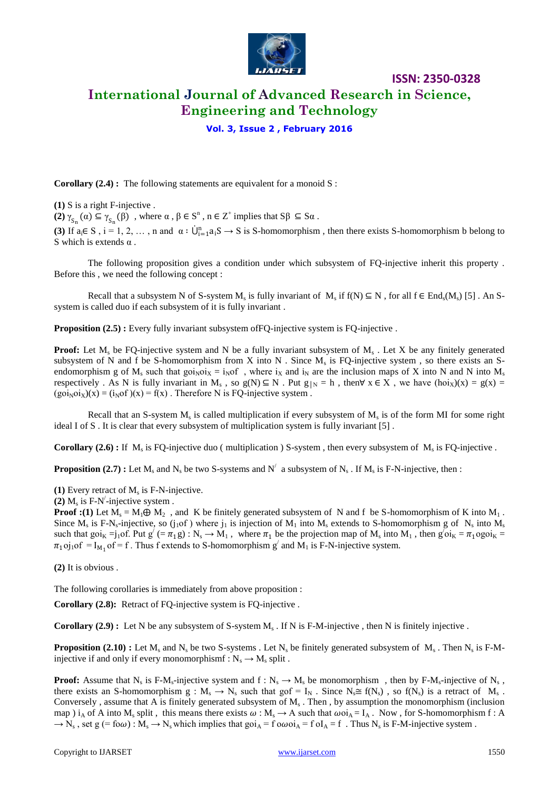

## **International Journal of Advanced Research in Science, Engineering and Technology**

**ISSN: 2350-0328**

### **Vol. 3, Issue 2 , February 2016**

**Corollary (2.4) :** The following statements are equivalent for a monoid S :

**(1)** S is a right F-injective . **(2)**  $\gamma_{S_n}(\alpha) \subseteq \gamma_{S_n}(\beta)$ , where  $\alpha, \beta \in S^n$ ,  $n \in Z^+$  implies that  $S\beta \subseteq S\alpha$ . **(3)** If  $a_i \in S$ ,  $i = 1, 2, \ldots$ , n and  $\alpha : \dot{\bigcup}_{i=1}^n a_i S \rightarrow S$  is S-homomorphism, then there exists S-homomorphism b belong to S which is extends  $\alpha$ .

The following proposition gives a condition under which subsystem of FQ-injective inherit this property . Before this , we need the following concept :

Recall that a subsystem N of S-system  $M_s$  is fully invariant of  $M_s$  if  $f(N) \subseteq N$ , for all  $f \in End_s(M_s)$  [5]. An Ssystem is called duo if each subsystem of it is fully invariant .

**Proposition (2.5) :** Every fully invariant subsystem of FQ-injective system is FQ-injective .

**Proof:** Let M<sub>s</sub> be FQ-injective system and N be a fully invariant subsystem of M<sub>s</sub>. Let X be any finitely generated subsystem of N and f be S-homomorphism from X into N . Since  $M_s$  is FQ-injective system, so there exists an Sendomorphism g of M<sub>s</sub> such that goi<sub>N</sub>oi<sub>X</sub> = i<sub>N</sub>of, where i<sub>X</sub> and i<sub>N</sub> are the inclusion maps of X into N and N into M<sub>s</sub> respectively. As N is fully invariant in M<sub>s</sub>, so  $g(N) \subseteq N$ . Put  $g|_N = h$ , then∀ x  $\in X$ , we have  $(ho_x)(x) = g(x) =$  $(goi_Noi_X)(x) = (i_Nof)(x) = f(x)$ . Therefore N is FQ-injective system.

Recall that an S-system  $M_s$  is called multiplication if every subsystem of  $M_s$  is of the form MI for some right ideal I of S . It is clear that every subsystem of multiplication system is fully invariant [5] .

**Corollary**  $(2.6)$ **:** If  $M_s$  is FQ-injective duo ( multiplication ) S-system, then every subsystem of  $M_s$  is FQ-injective.

**Proposition (2.7) :** Let  $M_s$  and  $N_s$  be two S-systems and  $N'$  a subsystem of  $N_s$ . If  $M_s$  is F-N-injective, then :

 $(1)$  Every retract of  $M_s$  is F-N-injective.

 $(2)$  M<sub>s</sub> is F-N<sup> $\prime$ </sup>-injective system .

**Proof :(1)** Let  $M_s = M_1 \oplus M_2$ , and K be finitely generated subsystem of N and f be S-homomorphism of K into  $M_1$ . Since  $M_s$  is F-N<sub>s</sub>-injective, so (j<sub>1</sub>of) where j<sub>1</sub> is injection of  $M_1$  into  $M_s$  extends to S-homomorphism g of N<sub>s</sub> into  $M_s$ such that goi<sub>K</sub> = j<sub>1</sub>of. Put  $g'$  (=  $\pi_1 g$ ) : N<sub>s</sub>  $\rightarrow$  M<sub>1</sub>, where  $\pi_1$  be the projection map of M<sub>s</sub> into M<sub>1</sub>, then  $g'$  oi<sub>K</sub> =  $\pi_1$  og oi<sub>K</sub> =  $\pi_1$ oj<sub>1</sub>of = I<sub>M<sub>1</sub></sub>of = f. Thus f extends to S-homomorphism g' and M<sub>1</sub> is F-N-injective system.

**(2)** It is obvious .

The following corollaries is immediately from above proposition :

**Corollary (2.8):** Retract of FQ-injective system is FQ-injective .

**Corollary (2.9) :** Let N be any subsystem of S-system M<sub>s</sub>. If N is F-M-injective, then N is finitely injective.

**Proposition (2.10) :** Let  $M_s$  and  $N_s$  be two S-systems . Let  $N_s$  be finitely generated subsystem of  $M_s$ . Then  $N_s$  is F-Minjective if and only if every monomorphismf :  $N_s \rightarrow M_s$  split.

**Proof:** Assume that  $N_s$  is F-M<sub>s</sub>-injective system and  $f : N_s \to M_s$  be monomorphism, then by F-M<sub>s</sub>-injective of  $N_s$ , there exists an S-homomorphism  $g: M_s \to N_s$  such that  $g \circ f = I_N$ . Since  $N_s \cong f(N_s)$ , so  $f(N_s)$  is a retract of  $M_s$ . Conversely, assume that A is finitely generated subsystem of  $M_s$ . Then, by assumption the monomorphism (inclusion map ) i<sub>A</sub> of A into M<sub>s</sub> split, this means there exists  $\omega : M_s \to A$  such that  $\omega o_iA = I_A$ . Now, for S-homomorphism f: A  $\rightarrow$  N<sub>s</sub>, set g (= fo $\omega$ ) : M<sub>s</sub>  $\rightarrow$  N<sub>s</sub> which implies that goi<sub>A</sub> = f o $\omega$ oi<sub>A</sub> = f oI<sub>A</sub> = f. Thus N<sub>s</sub> is F-M-injective system.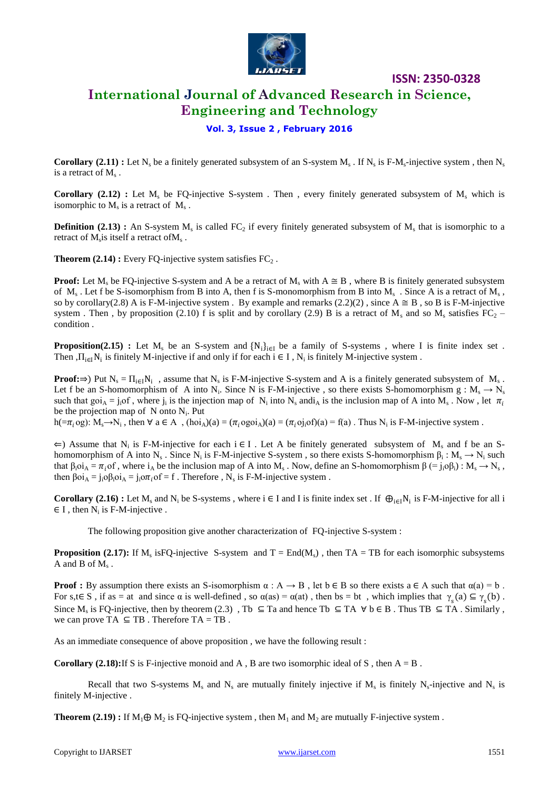

### **International Journal of Advanced Research in Science, Engineering and Technology**

**Vol. 3, Issue 2 , February 2016**

**Corollary (2.11) :** Let  $N_s$  be a finitely generated subsystem of an S-system  $M_s$ . If  $N_s$  is F- $M_s$ -injective system, then  $N_s$ is a retract of  $M_s$ .

**Corollary (2.12) :** Let  $M_s$  be FQ-injective S-system . Then , every finitely generated subsystem of  $M_s$  which is isomorphic to  $M_s$  is a retract of  $M_s$ .

**Definition (2.13) :** An S-system  $M_s$  is called  $FC_2$  if every finitely generated subsystem of  $M_s$  that is isomorphic to a retract of  $M_s$  is itself a retract of  $M_s$ .

**Theorem (2.14) :** Every FQ-injective system satisfies  $FC_2$ .

**Proof:** Let  $M_s$  be FQ-injective S-system and A be a retract of  $M_s$  with  $A \cong B$ , where B is finitely generated subsystem of  $M_s$ . Let f be S-isomorphism from B into A, then f is S-monomorphism from B into  $M_s$ . Since A is a retract of  $M_s$ , so by corollary(2.8) A is F-M-injective system . By example and remarks (2.2)(2), since  $A \cong B$ , so B is F-M-injective system . Then , by proposition (2.10) f is split and by corollary (2.9) B is a retract of  $M_s$  and so  $M_s$  satisfies  $FC_2$  – condition .

**Proposition(2.15)** : Let  $M_s$  be an S-system and  $\{N_i\}_{i\in I}$  be a family of S-systems, where I is finite index set. Then ,  $\Pi_{i\in I}N_i$  is finitely M-injective if and only if for each  $i \in I$ ,  $N_i$  is finitely M-injective system.

**Proof:** $\Rightarrow$ ) Put N<sub>s</sub> =  $\Pi_{i\in I}N_i$ , assume that N<sub>s</sub> is F-M-injective S-system and A is a finitely generated subsystem of M<sub>s</sub>. Let f be an S-homomorphism of A into N<sub>i</sub>. Since N is F-M-injective, so there exists S-homomorphism  $g: M_s \to N_s$ such that  $goi_A = j_i$  , where  $j_i$  is the injection map of  $N_i$  into  $N_s$  and  $i_A$  is the inclusion map of A into  $M_s$ . Now, let  $\pi_i$ be the projection map of  $N$  onto  $N_i$ . Put

h(= $\pi_i$ og): M<sub>s</sub>→N<sub>i</sub>, then  $\forall$  a ∈ A, (hoi<sub>A</sub>)(a) = ( $\pi_i$ ogoi<sub>A</sub>)(a) = ( $\pi_i$ oj<sub>i</sub>of)(a) = f(a). Thus N<sub>i</sub> is F-M-injective system.

 $\Leftarrow$ ) Assume that N<sub>i</sub> is F-M-injective for each i  $\in I$ . Let A be finitely generated subsystem of M<sub>s</sub> and f be an Shomomorphism of A into N<sub>s</sub>. Since N<sub>i</sub> is F-M-injective S-system, so there exists S-homomorphism  $\beta_i : M_s \to N_i$  such that  $\beta_i$ oi<sub>A</sub> =  $\pi_i$ of, where i<sub>A</sub> be the inclusion map of A into M<sub>s</sub>. Now, define an S-homomorphism  $\beta$  (= j<sub>i</sub>o $\beta_i$ ) : M<sub>s</sub> → N<sub>s</sub>, then  $\beta$  $oi_A = j_i \circ \beta_i$  $oi_A = j_i \circ \pi_i$  of = f. Therefore, N<sub>s</sub> is F-M-injective system.

**Corollary (2.16) :** Let  $M_s$  and  $N_i$  be S-systems, where  $i \in I$  and I is finite index set. If  $\bigoplus_{i \in I} N_i$  is F-M-injective for all i  $\in$  I, then N<sub>i</sub> is F-M-injective.

The following proposition give another characterization of FQ-injective S-system :

**Proposition (2.17):** If  $M_s$  is FQ-injective S-system and  $T = End(M_s)$ , then  $TA = TB$  for each isomorphic subsystems A and B of  $M_s$ .

**Proof :** By assumption there exists an S-isomorphism  $\alpha$  : A  $\rightarrow$  B, let b  $\in$  B so there exists  $a \in A$  such that  $\alpha(a) = b$ . For s,t∈ S, if as = at and since  $\alpha$  is well-defined, so  $\alpha(as) = \alpha(at)$ , then bs = bt, which implies that  $\gamma_s(a) \subseteq \gamma_s(b)$ . Since  $M_s$  is FQ-injective, then by theorem (2.3), Tb  $\subseteq$  Ta and hence Tb  $\subseteq$  TA  $\forall$  b  $\in$  B. Thus TB  $\subseteq$  TA. Similarly, we can prove  $TA \subseteq TB$ . Therefore  $TA = TB$ .

As an immediate consequence of above proposition , we have the following result :

**Corollary (2.18):**If S is F-injective monoid and A, B are two isomorphic ideal of S, then  $A = B$ .

Recall that two S-systems  $M_s$  and  $N_s$  are mutually finitely injective if  $M_s$  is finitely  $N_s$ -injective and  $N_s$  is finitely M-injective .

**Theorem (2.19) :** If  $M_1 \oplus M_2$  is FQ-injective system, then  $M_1$  and  $M_2$  are mutually F-injective system.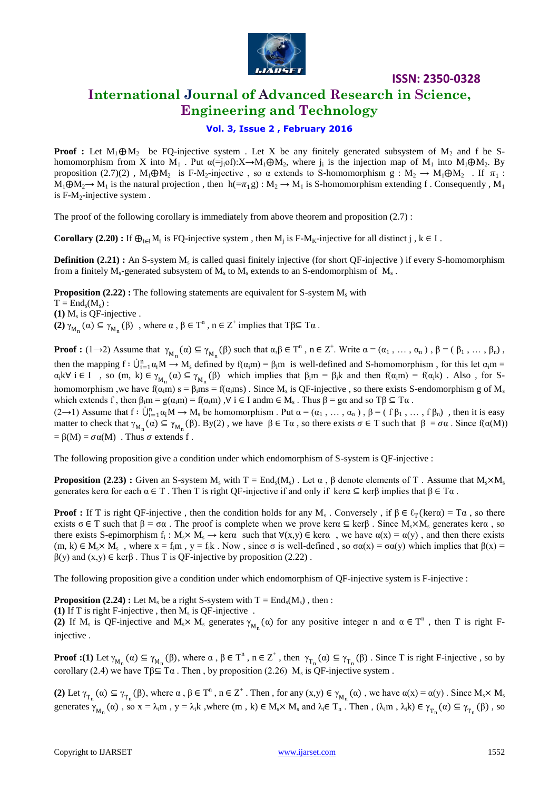

### **International Journal of Advanced Research in Science, Engineering and Technology**

### **Vol. 3, Issue 2 , February 2016**

**Proof :** Let  $M_1 \oplus M_2$  be FQ-injective system . Let X be any finitely generated subsystem of  $M_2$  and f be Shomomorphism from X into M<sub>1</sub>. Put  $\alpha$ (=j<sub>i</sub>of):X→M<sub>1</sub>⊕M<sub>2</sub>, where j<sub>i</sub> is the injection map of M<sub>1</sub> into M<sub>1</sub>⊕M<sub>2</sub>. By proposition (2.7)(2),  $M_1 \oplus M_2$  is F-M<sub>2</sub>-injective, so a extends to S-homomorphism  $g : M_2 \to M_1 \oplus M_2$ . If  $\pi_1$ :  $M_1 \oplus M_2 \rightarrow M_1$  is the natural projection, then  $h(\pi_1 g) : M_2 \rightarrow M_1$  is S-homomorphism extending f. Consequently,  $M_1$ is  $F-M_2$ -injective system.

The proof of the following corollary is immediately from above theorem and proposition  $(2.7)$ :

**Corollary (2.20) :** If  $\bigoplus_{i\in I} M_i$  is FQ-injective system, then  $M_j$  is F-M<sub>K</sub>-injective for all distinct j,  $k \in I$ .

**Definition (2.21) :** An S-system M<sub>s</sub> is called quasi finitely injective (for short QF-injective) if every S-homomorphism from a finitely  $M_s$ -generated subsystem of  $M_s$  to  $M_s$  extends to an S-endomorphism of  $M_s$ .

**Proposition (2.22) :** The following statements are equivalent for S-system M<sub>s</sub> with  $T = End_s(M_s)$ :  $(1)$   $M_s$  is QF-injective. **(2)**  $\gamma_{M_n}(\alpha) \subseteq \gamma_{M_n}(\beta)$ , where  $\alpha, \beta \in T^n$ ,  $n \in Z^+$  implies that  $T\beta \subseteq T\alpha$ .

**Proof :**  $(1\rightarrow 2)$  Assume that  $\gamma_{M_n}(\alpha) \subseteq \gamma_{M_n}(\beta)$  such that  $\alpha, \beta \in T^n$ ,  $n \in Z^+$ . Write  $\alpha = (\alpha_1, \dots, \alpha_n)$ ,  $\beta = (\beta_1, \dots, \beta_n)$ , then the mapping  $f: \dot{U}_{i=1}^n \alpha_i M \to M_s$  defined by  $f(\alpha_i m) = \beta_i m$  is well-defined and S-homomorphism, for this let  $\alpha_i m =$  $\alpha_i k \forall i \in I$ , so  $(m, k) \in \gamma_{M_n}(\alpha) \subseteq \gamma_{M_n}(\beta)$  which implies that  $\beta_i m = \beta_i k$  and then  $f(\alpha_i m) = f(\alpha_i k)$ . Also, for Shomomorphism, we have  $f(\alpha_i m) s = \beta_i ms = f(\alpha_i ms)$ . Since  $M_s$  is QF-injective, so there exists S-endomorphism g of  $M_s$ which extends f, then  $\beta_i m = g(\alpha_i m) = f(\alpha_i m)$ ,  $\forall$  i  $\in$  I and  $m \in M_s$ . Thus  $\beta = g\alpha$  and so  $T\beta \subseteq T\alpha$ .

 $(2\to 1)$  Assume that  $f: \dot{\cup}_{i=1}^n \alpha_i M \to M_s$  be homomorphism . Put  $\alpha = (\alpha_1, \ldots, \alpha_n)$ ,  $\beta = (f \beta_1, \ldots, f \beta_n)$ , then it is easy matter to check that  $\gamma_{M_n}(\alpha) \subseteq \gamma_{M_n}(\beta)$ . By(2), we have  $\beta \in T\alpha$ , so there exists  $\sigma \in T$  such that  $\beta = \sigma\alpha$ . Since  $f(\alpha(M))$  $= \beta(M) = \sigma \alpha(M)$ . Thus  $\sigma$  extends f.

The following proposition give a condition under which endomorphism of S-system is QF-injective :

**Proposition (2.23) :** Given an S-system M<sub>s</sub> with  $T = End_s(M_s)$ . Let  $\alpha$ ,  $\beta$  denote elements of T. Assume that  $M_s \times M_s$ generates kerα for each  $\alpha \in T$ . Then T is right QF-injective if and only if ker $\alpha \subseteq \text{ker}\beta$  implies that  $\beta \in T\alpha$ .

**Proof :** If T is right QF-injective, then the condition holds for any M<sub>s</sub>. Conversely, if  $\beta \in \ell_T(\text{ker}\alpha) = T\alpha$ , so there exists  $\sigma \in T$  such that  $\beta = \sigma \alpha$ . The proof is complete when we prove ker $\alpha \subseteq \text{ker}\beta$ . Since  $M_s \times M_s$  generates ker $\alpha$ , so there exists S-epimorphism  $f_i$ :  $M_s \times M_s \to \text{ker}\alpha$  such that  $\forall (x,y) \in \text{ker}\alpha$ , we have  $\alpha(x) = \alpha(y)$ , and then there exists  $(m, k) \in M_s \times M_s$ , where  $x = f_i m$ ,  $y = f_i k$ . Now, since  $\sigma$  is well-defined, so  $\sigma\alpha(x) = \sigma\alpha(y)$  which implies that  $\beta(x) =$  $β(y)$  and  $(x,y) \in \text{ker}β$ . Thus T is QF-injective by proposition (2.22).

The following proposition give a condition under which endomorphism of QF-injective system is F-injective :

**Proposition (2.24) :** Let  $M_s$  be a right S-system with  $T = \text{End}_s(M_s)$ , then :

(1) If T is right F-injective, then  $M_s$  is QF-injective.

(2) If  $M_s$  is QF-injective and  $M_s \times M_s$  generates  $\gamma_{M_n}(\alpha)$  for any positive integer n and  $\alpha \in T^n$ , then T is right Finjective .

**Proof :**(1) Let  $\gamma_{M_n}(\alpha) \subseteq \gamma_{M_n}(\beta)$ , where  $\alpha$ ,  $\beta \in T^n$ ,  $n \in Z^+$ , then  $\gamma_{T_n}(\alpha) \subseteq \gamma_{T_n}(\beta)$ . Since T is right F-injective, so by corollary (2.4) we have  $T\beta \subseteq T\alpha$ . Then, by proposition (2.26)  $M_s$  is QF-injective system.

(2) Let  $\gamma_{T_n}(\alpha) \subseteq \gamma_{T_n}(\beta)$ , where  $\alpha, \beta \in T^n$ ,  $n \in Z^+$ . Then, for any  $(x,y) \in \gamma_{M_n}(\alpha)$ , we have  $\alpha(x) = \alpha(y)$ . Since  $M_s \times M_s$ generates  $\gamma_{M_n}(\alpha)$ , so  $x = \lambda_i m$ ,  $y = \lambda_i k$ , where  $(m, k) \in M_s \times M_s$  and  $\lambda_i \in T_n$ . Then,  $(\lambda_i m, \lambda_i k) \in \gamma_{T_n}(\alpha) \subseteq \gamma_{T_n}(\beta)$ , so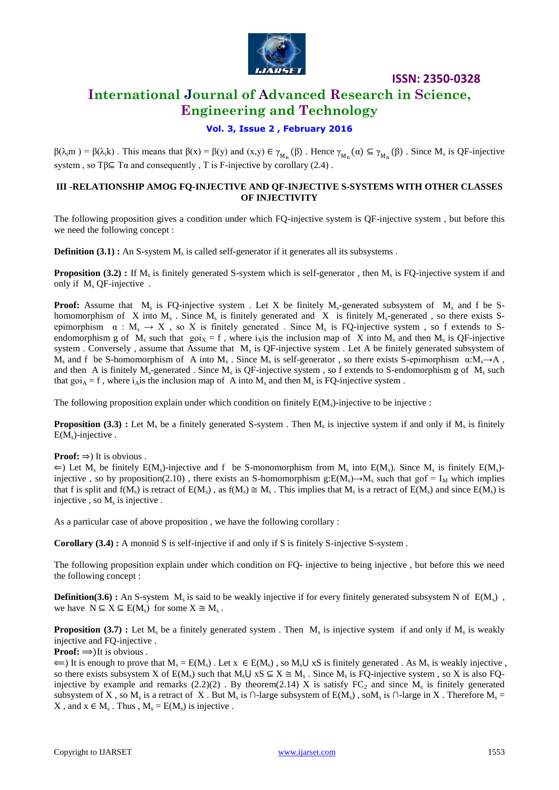

### **International Journal of Advanced Research in Science, Engineering and Technology**

### **Vol. 3, Issue 2 , February 2016**

 $\beta(\lambda_i m) = \beta(\lambda_i k)$ . This means that  $\beta(x) = \beta(y)$  and  $(x, y) \in \gamma_{M_n}(\beta)$ . Hence  $\gamma_{M_n}(\alpha) \subseteq \gamma_{M_n}(\beta)$ . Since  $M_s$  is QF-injective system, so T $\beta \subseteq T\alpha$  and consequently, T is F-injective by corollary (2.4).

### **III -RELATIONSHIP AMOG FQ-INJECTIVE AND QF-INJECTIVE S-SYSTEMS WITH OTHER CLASSES OF INJECTIVITY**

The following proposition gives a condition under which FQ-injective system is QF-injective system , but before this we need the following concept :

**Definition (3.1) :** An S-system M<sub>s</sub> is called self-generator if it generates all its subsystems.

**Proposition (3.2)**: If M<sub>s</sub> is finitely generated S-system which is self-generator, then M<sub>s</sub> is FQ-injective system if and only if  $M_s$  QF-injective.

**Proof:** Assume that  $M_s$  is FQ-injective system . Let X be finitely  $M_s$ -generated subsystem of  $M_s$  and f be Shomomorphism of X into  $M_s$ . Since  $M_s$  is finitely generated and X is finitely  $M_s$ -generated, so there exists Sepimorphism  $\alpha : M_s \to X$ , so X is finitely generated. Since M<sub>s</sub> is FQ-injective system, so f extends to Sendomorphism g of  $M_s$  such that  $goi_X = f$ , where  $i_X$  is the inclusion map of X into  $M_s$  and then  $M_s$  is QF-injective system. Conversely, assume that Assume that  $M_s$  is QF-injective system. Let A be finitely generated subsystem of  $M_s$  and f be S-homomorphism of A into  $M_s$ . Since  $M_s$  is self-generator, so there exists S-epimorphism  $\alpha: M_s \to A$ , and then A is finitely  $M_s$ -generated. Since  $M_s$  is QF-injective system, so f extends to S-endomorphism g of  $M_s$  such that  $\text{goi}_A = f$ , where  $i_A$  is the inclusion map of A into  $M_s$  and then  $M_s$  is FQ-injective system.

The following proposition explain under which condition on finitely  $E(M_s)$ -injective to be injective :

**Proposition (3.3)** : Let  $M_s$  be a finitely generated S-system. Then  $M_s$  is injective system if and only if  $M_s$  is finitely  $E(M<sub>s</sub>)$ -injective.

#### **Proof:**  $\Rightarrow$  It is obvious.

 $\Leftarrow$ ) Let M<sub>s</sub> be finitely E(M<sub>s</sub>)-injective and f be S-monomorphism from M<sub>s</sub> into E(M<sub>s</sub>). Since M<sub>s</sub> is finitely E(M<sub>s</sub>)injective, so by proposition(2.10), there exists an S-homomorphism g: $E(M_s) \rightarrow M_s$  such that gof = I<sub>M</sub> which implies that f is split and  $f(M_s)$  is retract of  $E(M_s)$ , as  $f(M_s) \cong M_s$ . This implies that  $M_s$  is a retract of  $E(M_s)$  and since  $E(M_s)$  is injective, so  $M_s$  is injective.

As a particular case of above proposition , we have the following corollary :

**Corollary (3.4) :** A monoid S is self-injective if and only if S is finitely S-injective S-system .

The following proposition explain under which condition on FQ- injective to being injective , but before this we need the following concept :

**Definition(3.6)** : An S-system M<sub>s</sub> is said to be weakly injective if for every finitely generated subsystem N of E(M<sub>s</sub>), we have  $N \subseteq X \subseteq E(M_s)$  for some  $X \cong M_s$ .

**Proposition (3.7) :** Let  $M_s$  be a finitely generated system. Then  $M_s$  is injective system if and only if  $M_s$  is weakly injective and FQ-injective .

**Proof:**  $\Rightarrow$  It is obvious .

 $\Leftarrow$ ) It is enough to prove that  $M_s = E(M_s)$ . Let  $x \in E(M_s)$ , so  $M_s \cup xS$  is finitely generated. As  $M_s$  is weakly injective, so there exists subsystem X of  $E(M_s)$  such that  $M_s \cup xS \subseteq X \cong M_s$ . Since  $M_s$  is FQ-injective system, so X is also FQinjective by example and remarks  $(2.2)(2)$ . By theorem $(2.14)$  X is satisfy FC<sub>2</sub> and since M<sub>s</sub> is finitely generated subsystem of X, so  $M_s$  is a retract of X. But  $M_s$  is  $\cap$ -large subsystem of  $E(M_s)$ , so $M_s$  is  $\cap$ -large in X. Therefore  $M_s$  = X, and  $x \in M_s$ . Thus,  $M_s = E(M_s)$  is injective.